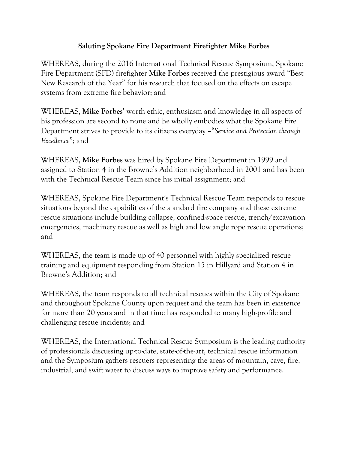## **Saluting Spokane Fire Department Firefighter Mike Forbes**

WHEREAS, during the 2016 International Technical Rescue Symposium, Spokane Fire Department (SFD) firefighter **Mike Forbes** received the prestigious award "Best New Research of the Year" for his research that focused on the effects on escape systems from extreme fire behavior; and

WHEREAS, **Mike Forbes'** worth ethic, enthusiasm and knowledge in all aspects of his profession are second to none and he wholly embodies what the Spokane Fire Department strives to provide to its citizens everyday –"*Service and Protection through Excellence*"; and

WHEREAS, **Mike Forbes** was hired by Spokane Fire Department in 1999 and assigned to Station 4 in the Browne's Addition neighborhood in 2001 and has been with the Technical Rescue Team since his initial assignment; and

WHEREAS, Spokane Fire Department's Technical Rescue Team responds to rescue situations beyond the capabilities of the standard fire company and these extreme rescue situations include building collapse, confined-space rescue, trench/excavation emergencies, machinery rescue as well as high and low angle rope rescue operations; and

WHEREAS, the team is made up of 40 personnel with highly specialized rescue training and equipment responding from Station 15 in Hillyard and Station 4 in Browne's Addition; and

WHEREAS, the team responds to all technical rescues within the City of Spokane and throughout Spokane County upon request and the team has been in existence for more than 20 years and in that time has responded to many high-profile and challenging rescue incidents; and

WHEREAS, the International Technical Rescue Symposium is the leading authority of professionals discussing up-to-date, state-of-the-art, technical rescue information and the Symposium gathers rescuers representing the areas of mountain, cave, fire, industrial, and swift water to discuss ways to improve safety and performance.